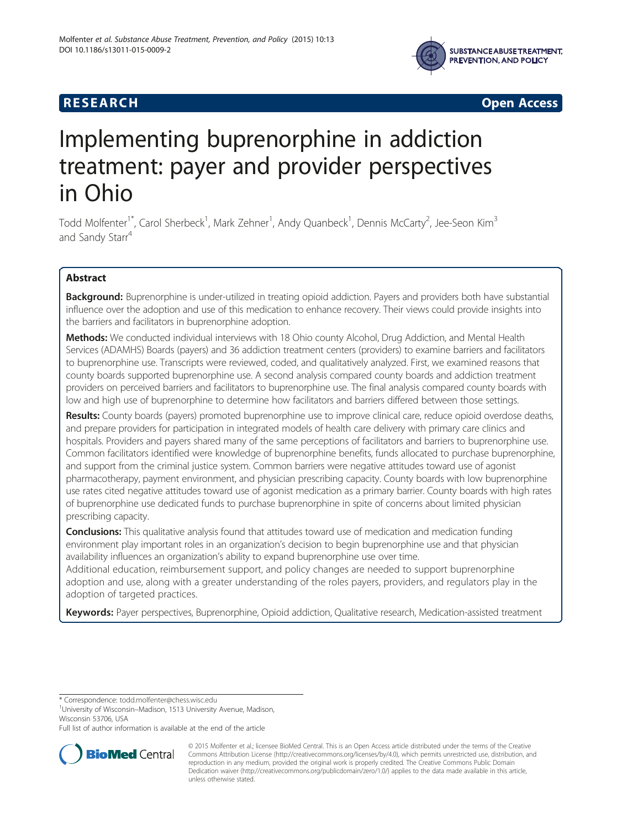

# **RESEARCH RESEARCH CONSUMING ACCESS**

# Implementing buprenorphine in addiction treatment: payer and provider perspectives in Ohio

Todd Molfenter<sup>1\*</sup>, Carol Sherbeck<sup>1</sup>, Mark Zehner<sup>1</sup>, Andy Quanbeck<sup>1</sup>, Dennis McCarty<sup>2</sup>, Jee-Seon Kim<sup>3</sup> and Sandy Starr<sup>4</sup>

# Abstract

Background: Buprenorphine is under-utilized in treating opioid addiction. Payers and providers both have substantial influence over the adoption and use of this medication to enhance recovery. Their views could provide insights into the barriers and facilitators in buprenorphine adoption.

Methods: We conducted individual interviews with 18 Ohio county Alcohol, Drug Addiction, and Mental Health Services (ADAMHS) Boards (payers) and 36 addiction treatment centers (providers) to examine barriers and facilitators to buprenorphine use. Transcripts were reviewed, coded, and qualitatively analyzed. First, we examined reasons that county boards supported buprenorphine use. A second analysis compared county boards and addiction treatment providers on perceived barriers and facilitators to buprenorphine use. The final analysis compared county boards with low and high use of buprenorphine to determine how facilitators and barriers differed between those settings.

Results: County boards (payers) promoted buprenorphine use to improve clinical care, reduce opioid overdose deaths, and prepare providers for participation in integrated models of health care delivery with primary care clinics and hospitals. Providers and payers shared many of the same perceptions of facilitators and barriers to buprenorphine use. Common facilitators identified were knowledge of buprenorphine benefits, funds allocated to purchase buprenorphine, and support from the criminal justice system. Common barriers were negative attitudes toward use of agonist pharmacotherapy, payment environment, and physician prescribing capacity. County boards with low buprenorphine use rates cited negative attitudes toward use of agonist medication as a primary barrier. County boards with high rates of buprenorphine use dedicated funds to purchase buprenorphine in spite of concerns about limited physician prescribing capacity.

**Conclusions:** This qualitative analysis found that attitudes toward use of medication and medication funding environment play important roles in an organization's decision to begin buprenorphine use and that physician availability influences an organization's ability to expand buprenorphine use over time.

Additional education, reimbursement support, and policy changes are needed to support buprenorphine adoption and use, along with a greater understanding of the roles payers, providers, and regulators play in the adoption of targeted practices.

Keywords: Payer perspectives, Buprenorphine, Opioid addiction, Qualitative research, Medication-assisted treatment

\* Correspondence: [todd.molfenter@chess.wisc.edu](mailto:todd.molfenter@chess.wisc.edu) <sup>1</sup>

University of Wisconsin–Madison, 1513 University Avenue, Madison, Wisconsin 53706, USA

Full list of author information is available at the end of the article



<sup>© 2015</sup> Molfenter et al.; licensee BioMed Central. This is an Open Access article distributed under the terms of the Creative Commons Attribution License [\(http://creativecommons.org/licenses/by/4.0\)](http://creativecommons.org/licenses/by/4.0), which permits unrestricted use, distribution, and reproduction in any medium, provided the original work is properly credited. The Creative Commons Public Domain Dedication waiver [\(http://creativecommons.org/publicdomain/zero/1.0/](http://creativecommons.org/publicdomain/zero/1.0/)) applies to the data made available in this article, unless otherwise stated.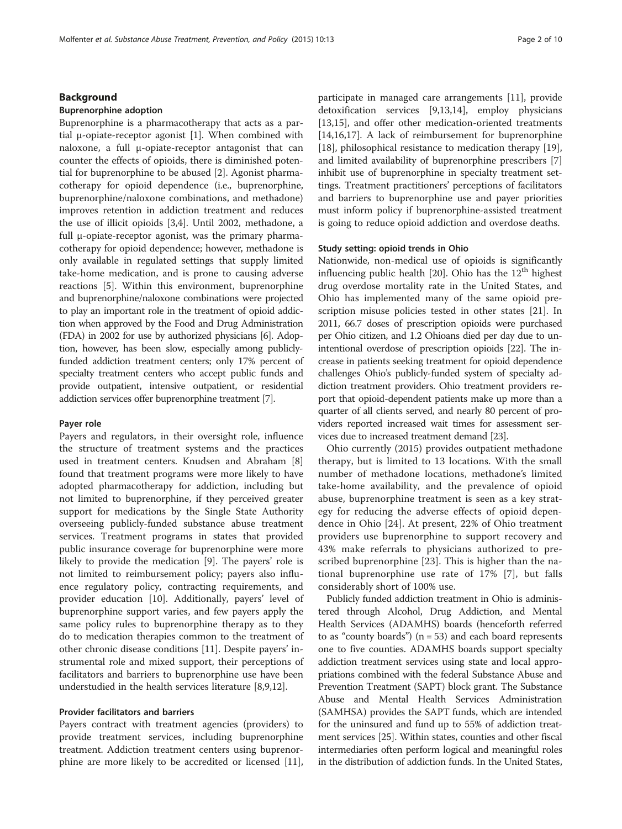#### Background

#### Buprenorphine adoption

Buprenorphine is a pharmacotherapy that acts as a partial μ-opiate-receptor agonist [\[1\]](#page-8-0). When combined with naloxone, a full μ-opiate-receptor antagonist that can counter the effects of opioids, there is diminished potential for buprenorphine to be abused [\[2](#page-8-0)]. Agonist pharmacotherapy for opioid dependence (i.e., buprenorphine, buprenorphine/naloxone combinations, and methadone) improves retention in addiction treatment and reduces the use of illicit opioids [\[3,4](#page-8-0)]. Until 2002, methadone, a full μ-opiate-receptor agonist, was the primary pharmacotherapy for opioid dependence; however, methadone is only available in regulated settings that supply limited take-home medication, and is prone to causing adverse reactions [[5\]](#page-8-0). Within this environment, buprenorphine and buprenorphine/naloxone combinations were projected to play an important role in the treatment of opioid addiction when approved by the Food and Drug Administration (FDA) in 2002 for use by authorized physicians [\[6\]](#page-8-0). Adoption, however, has been slow, especially among publiclyfunded addiction treatment centers; only 17% percent of specialty treatment centers who accept public funds and provide outpatient, intensive outpatient, or residential addiction services offer buprenorphine treatment [\[7\]](#page-8-0).

#### Payer role

Payers and regulators, in their oversight role, influence the structure of treatment systems and the practices used in treatment centers. Knudsen and Abraham [\[8](#page-8-0)] found that treatment programs were more likely to have adopted pharmacotherapy for addiction, including but not limited to buprenorphine, if they perceived greater support for medications by the Single State Authority overseeing publicly-funded substance abuse treatment services. Treatment programs in states that provided public insurance coverage for buprenorphine were more likely to provide the medication [\[9](#page-8-0)]. The payers' role is not limited to reimbursement policy; payers also influence regulatory policy, contracting requirements, and provider education [[10\]](#page-8-0). Additionally, payers' level of buprenorphine support varies, and few payers apply the same policy rules to buprenorphine therapy as to they do to medication therapies common to the treatment of other chronic disease conditions [\[11\]](#page-8-0). Despite payers' instrumental role and mixed support, their perceptions of facilitators and barriers to buprenorphine use have been understudied in the health services literature [\[8,9,12](#page-8-0)].

#### Provider facilitators and barriers

Payers contract with treatment agencies (providers) to provide treatment services, including buprenorphine treatment. Addiction treatment centers using buprenorphine are more likely to be accredited or licensed [\[11](#page-8-0)], participate in managed care arrangements [[11\]](#page-8-0), provide detoxification services [\[9,13,14\]](#page-8-0), employ physicians [[13,15\]](#page-8-0), and offer other medication-oriented treatments [[14,16,17\]](#page-8-0). A lack of reimbursement for buprenorphine [[18\]](#page-8-0), philosophical resistance to medication therapy [\[19](#page-8-0)], and limited availability of buprenorphine prescribers [\[7](#page-8-0)] inhibit use of buprenorphine in specialty treatment settings. Treatment practitioners' perceptions of facilitators and barriers to buprenorphine use and payer priorities must inform policy if buprenorphine-assisted treatment is going to reduce opioid addiction and overdose deaths.

#### Study setting: opioid trends in Ohio

Nationwide, non-medical use of opioids is significantly influencing public health [[20\]](#page-8-0). Ohio has the  $12<sup>th</sup>$  highest drug overdose mortality rate in the United States, and Ohio has implemented many of the same opioid prescription misuse policies tested in other states [\[21](#page-8-0)]. In 2011, 66.7 doses of prescription opioids were purchased per Ohio citizen, and 1.2 Ohioans died per day due to unintentional overdose of prescription opioids [\[22\]](#page-8-0). The increase in patients seeking treatment for opioid dependence challenges Ohio's publicly-funded system of specialty addiction treatment providers. Ohio treatment providers report that opioid-dependent patients make up more than a quarter of all clients served, and nearly 80 percent of providers reported increased wait times for assessment services due to increased treatment demand [[23](#page-8-0)].

Ohio currently (2015) provides outpatient methadone therapy, but is limited to 13 locations. With the small number of methadone locations, methadone's limited take-home availability, and the prevalence of opioid abuse, buprenorphine treatment is seen as a key strategy for reducing the adverse effects of opioid dependence in Ohio [[24\]](#page-8-0). At present, 22% of Ohio treatment providers use buprenorphine to support recovery and 43% make referrals to physicians authorized to prescribed buprenorphine [[23](#page-8-0)]. This is higher than the national buprenorphine use rate of 17% [\[7\]](#page-8-0), but falls considerably short of 100% use.

Publicly funded addiction treatment in Ohio is administered through Alcohol, Drug Addiction, and Mental Health Services (ADAMHS) boards (henceforth referred to as "county boards")  $(n = 53)$  and each board represents one to five counties. ADAMHS boards support specialty addiction treatment services using state and local appropriations combined with the federal Substance Abuse and Prevention Treatment (SAPT) block grant. The Substance Abuse and Mental Health Services Administration (SAMHSA) provides the SAPT funds, which are intended for the uninsured and fund up to 55% of addiction treatment services [\[25\]](#page-8-0). Within states, counties and other fiscal intermediaries often perform logical and meaningful roles in the distribution of addiction funds. In the United States,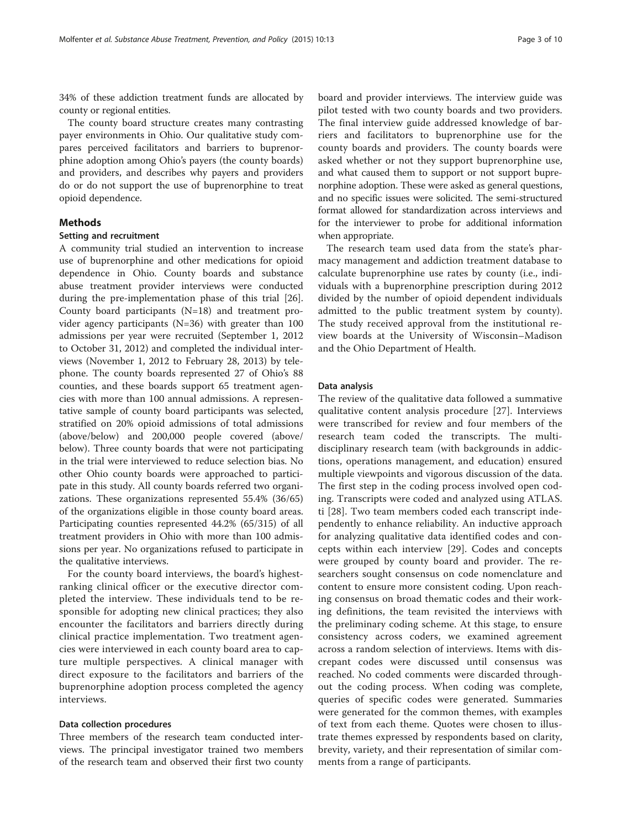34% of these addiction treatment funds are allocated by county or regional entities.

The county board structure creates many contrasting payer environments in Ohio. Our qualitative study compares perceived facilitators and barriers to buprenorphine adoption among Ohio's payers (the county boards) and providers, and describes why payers and providers do or do not support the use of buprenorphine to treat opioid dependence.

# Methods

#### Setting and recruitment

A community trial studied an intervention to increase use of buprenorphine and other medications for opioid dependence in Ohio. County boards and substance abuse treatment provider interviews were conducted during the pre-implementation phase of this trial [\[26](#page-8-0)]. County board participants (N=18) and treatment provider agency participants (N=36) with greater than 100 admissions per year were recruited (September 1, 2012 to October 31, 2012) and completed the individual interviews (November 1, 2012 to February 28, 2013) by telephone. The county boards represented 27 of Ohio's 88 counties, and these boards support 65 treatment agencies with more than 100 annual admissions. A representative sample of county board participants was selected, stratified on 20% opioid admissions of total admissions (above/below) and 200,000 people covered (above/ below). Three county boards that were not participating in the trial were interviewed to reduce selection bias. No other Ohio county boards were approached to participate in this study. All county boards referred two organizations. These organizations represented 55.4% (36/65) of the organizations eligible in those county board areas. Participating counties represented 44.2% (65/315) of all treatment providers in Ohio with more than 100 admissions per year. No organizations refused to participate in the qualitative interviews.

For the county board interviews, the board's highestranking clinical officer or the executive director completed the interview. These individuals tend to be responsible for adopting new clinical practices; they also encounter the facilitators and barriers directly during clinical practice implementation. Two treatment agencies were interviewed in each county board area to capture multiple perspectives. A clinical manager with direct exposure to the facilitators and barriers of the buprenorphine adoption process completed the agency interviews.

# Data collection procedures

Three members of the research team conducted interviews. The principal investigator trained two members of the research team and observed their first two county board and provider interviews. The interview guide was pilot tested with two county boards and two providers. The final interview guide addressed knowledge of barriers and facilitators to buprenorphine use for the county boards and providers. The county boards were asked whether or not they support buprenorphine use, and what caused them to support or not support buprenorphine adoption. These were asked as general questions, and no specific issues were solicited. The semi-structured format allowed for standardization across interviews and for the interviewer to probe for additional information when appropriate.

The research team used data from the state's pharmacy management and addiction treatment database to calculate buprenorphine use rates by county (i.e., individuals with a buprenorphine prescription during 2012 divided by the number of opioid dependent individuals admitted to the public treatment system by county). The study received approval from the institutional review boards at the University of Wisconsin–Madison and the Ohio Department of Health.

#### Data analysis

The review of the qualitative data followed a summative qualitative content analysis procedure [\[27](#page-8-0)]. Interviews were transcribed for review and four members of the research team coded the transcripts. The multidisciplinary research team (with backgrounds in addictions, operations management, and education) ensured multiple viewpoints and vigorous discussion of the data. The first step in the coding process involved open coding. Transcripts were coded and analyzed using ATLAS. ti [[28](#page-8-0)]. Two team members coded each transcript independently to enhance reliability. An inductive approach for analyzing qualitative data identified codes and concepts within each interview [[29\]](#page-8-0). Codes and concepts were grouped by county board and provider. The researchers sought consensus on code nomenclature and content to ensure more consistent coding. Upon reaching consensus on broad thematic codes and their working definitions, the team revisited the interviews with the preliminary coding scheme. At this stage, to ensure consistency across coders, we examined agreement across a random selection of interviews. Items with discrepant codes were discussed until consensus was reached. No coded comments were discarded throughout the coding process. When coding was complete, queries of specific codes were generated. Summaries were generated for the common themes, with examples of text from each theme. Quotes were chosen to illustrate themes expressed by respondents based on clarity, brevity, variety, and their representation of similar comments from a range of participants.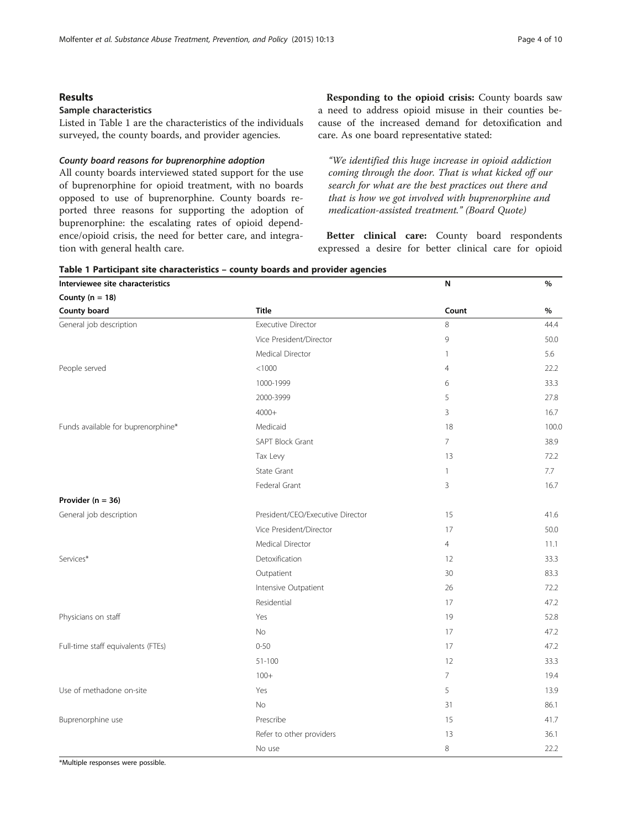# Results

# Sample characteristics

Listed in Table 1 are the characteristics of the individuals surveyed, the county boards, and provider agencies.

#### County board reasons for buprenorphine adoption

All county boards interviewed stated support for the use of buprenorphine for opioid treatment, with no boards opposed to use of buprenorphine. County boards reported three reasons for supporting the adoption of buprenorphine: the escalating rates of opioid dependence/opioid crisis, the need for better care, and integration with general health care.

Responding to the opioid crisis: County boards saw a need to address opioid misuse in their counties because of the increased demand for detoxification and care. As one board representative stated:

"We identified this huge increase in opioid addiction coming through the door. That is what kicked off our search for what are the best practices out there and that is how we got involved with buprenorphine and medication-assisted treatment." (Board Quote)

Better clinical care: County board respondents expressed a desire for better clinical care for opioid

| Interviewee site characteristics   |                                  | N              | $\%$  |
|------------------------------------|----------------------------------|----------------|-------|
| County ( $n = 18$ )                |                                  |                |       |
| County board                       | <b>Title</b>                     | Count          | %     |
| General job description            | <b>Executive Director</b>        | 8              | 44.4  |
|                                    | Vice President/Director          | 9              | 50.0  |
|                                    | Medical Director                 | 1              | 5.6   |
| People served                      | < 1000                           | $\overline{4}$ | 22.2  |
|                                    | 1000-1999                        | 6              | 33.3  |
|                                    | 2000-3999                        | 5              | 27.8  |
|                                    | $4000+$                          | 3              | 16.7  |
| Funds available for buprenorphine* | Medicaid                         | 18             | 100.0 |
|                                    | SAPT Block Grant                 | 7              | 38.9  |
|                                    | Tax Levy                         | 13             | 72.2  |
|                                    | State Grant                      | $\mathbf{1}$   | 7.7   |
|                                    | Federal Grant                    | 3              | 16.7  |
| Provider ( $n = 36$ )              |                                  |                |       |
| General job description            | President/CEO/Executive Director | 15             | 41.6  |
|                                    | Vice President/Director          | 17             | 50.0  |
|                                    | Medical Director                 | $\overline{4}$ | 11.1  |
| Services*                          | Detoxification                   | 12             | 33.3  |
|                                    | Outpatient                       | 30             | 83.3  |
|                                    | Intensive Outpatient             | 26             | 72.2  |
|                                    | Residential                      | 17             | 47.2  |
| Physicians on staff                | Yes                              | 19             | 52.8  |
|                                    | <b>No</b>                        | 17             | 47.2  |
| Full-time staff equivalents (FTEs) | $0 - 50$                         | 17             | 47.2  |
|                                    | $51 - 100$                       | 12             | 33.3  |
|                                    | $100+$                           | $\overline{7}$ | 19.4  |
| Use of methadone on-site           | Yes                              | 5              | 13.9  |
|                                    | <b>No</b>                        | 31             | 86.1  |
| Buprenorphine use                  | Prescribe                        | 15             | 41.7  |
|                                    | Refer to other providers         | 13             | 36.1  |
|                                    | No use                           | 8              | 22.2  |

# Table 1 Participant site characteristics – county boards and provider agencies

\*Multiple responses were possible.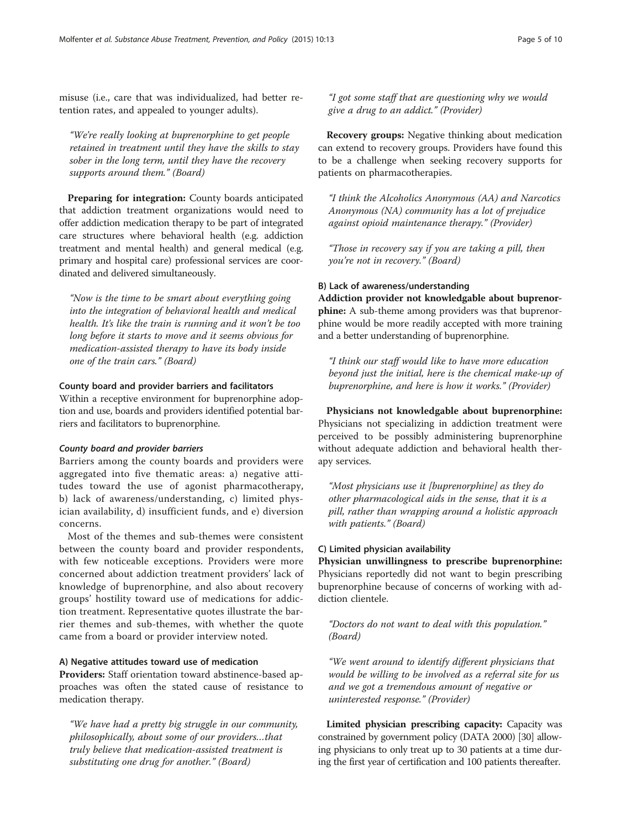misuse (i.e., care that was individualized, had better retention rates, and appealed to younger adults).

"We're really looking at buprenorphine to get people retained in treatment until they have the skills to stay sober in the long term, until they have the recovery supports around them." (Board)

Preparing for integration: County boards anticipated that addiction treatment organizations would need to offer addiction medication therapy to be part of integrated care structures where behavioral health (e.g. addiction treatment and mental health) and general medical (e.g. primary and hospital care) professional services are coordinated and delivered simultaneously.

"Now is the time to be smart about everything going into the integration of behavioral health and medical health. It's like the train is running and it won't be too long before it starts to move and it seems obvious for medication-assisted therapy to have its body inside one of the train cars." (Board)

#### County board and provider barriers and facilitators

Within a receptive environment for buprenorphine adoption and use, boards and providers identified potential barriers and facilitators to buprenorphine.

# County board and provider barriers

Barriers among the county boards and providers were aggregated into five thematic areas: a) negative attitudes toward the use of agonist pharmacotherapy, b) lack of awareness/understanding, c) limited physician availability, d) insufficient funds, and e) diversion concerns.

Most of the themes and sub-themes were consistent between the county board and provider respondents, with few noticeable exceptions. Providers were more concerned about addiction treatment providers' lack of knowledge of buprenorphine, and also about recovery groups' hostility toward use of medications for addiction treatment. Representative quotes illustrate the barrier themes and sub-themes, with whether the quote came from a board or provider interview noted.

#### A) Negative attitudes toward use of medication

Providers: Staff orientation toward abstinence-based approaches was often the stated cause of resistance to medication therapy.

"We have had a pretty big struggle in our community, philosophically, about some of our providers…that truly believe that medication-assisted treatment is substituting one drug for another." (Board)

"I got some staff that are questioning why we would give a drug to an addict." (Provider)

Recovery groups: Negative thinking about medication can extend to recovery groups. Providers have found this to be a challenge when seeking recovery supports for patients on pharmacotherapies.

"I think the Alcoholics Anonymous (AA) and Narcotics Anonymous (NA) community has a lot of prejudice against opioid maintenance therapy." (Provider)

"Those in recovery say if you are taking a pill, then you're not in recovery." (Board)

#### B) Lack of awareness/understanding

Addiction provider not knowledgable about buprenorphine: A sub-theme among providers was that buprenorphine would be more readily accepted with more training and a better understanding of buprenorphine.

"I think our staff would like to have more education beyond just the initial, here is the chemical make-up of buprenorphine, and here is how it works." (Provider)

Physicians not knowledgable about buprenorphine: Physicians not specializing in addiction treatment were perceived to be possibly administering buprenorphine without adequate addiction and behavioral health therapy services.

"Most physicians use it [buprenorphine] as they do other pharmacological aids in the sense, that it is a pill, rather than wrapping around a holistic approach with patients." (Board)

#### C) Limited physician availability

Physician unwillingness to prescribe buprenorphine: Physicians reportedly did not want to begin prescribing buprenorphine because of concerns of working with addiction clientele.

"Doctors do not want to deal with this population." (Board)

"We went around to identify different physicians that would be willing to be involved as a referral site for us and we got a tremendous amount of negative or uninterested response." (Provider)

Limited physician prescribing capacity: Capacity was constrained by government policy (DATA 2000) [\[30\]](#page-8-0) allowing physicians to only treat up to 30 patients at a time during the first year of certification and 100 patients thereafter.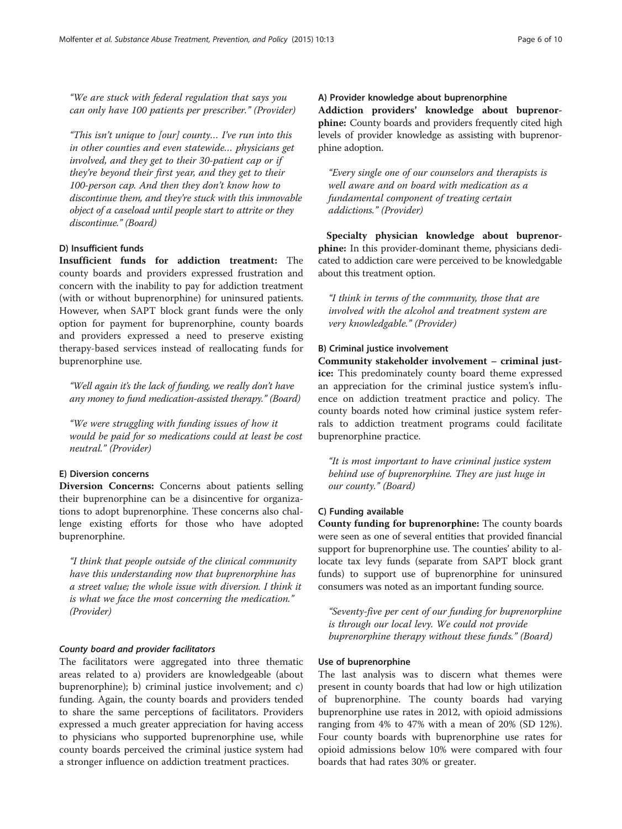"We are stuck with federal regulation that says you can only have 100 patients per prescriber." (Provider)

"This isn't unique to [our] county… I've run into this in other counties and even statewide… physicians get involved, and they get to their 30-patient cap or if they're beyond their first year, and they get to their 100-person cap. And then they don't know how to discontinue them, and they're stuck with this immovable object of a caseload until people start to attrite or they discontinue." (Board)

# D) Insufficient funds

Insufficient funds for addiction treatment: The county boards and providers expressed frustration and concern with the inability to pay for addiction treatment (with or without buprenorphine) for uninsured patients. However, when SAPT block grant funds were the only option for payment for buprenorphine, county boards and providers expressed a need to preserve existing therapy-based services instead of reallocating funds for buprenorphine use.

"Well again it's the lack of funding, we really don't have any money to fund medication-assisted therapy." (Board)

"We were struggling with funding issues of how it would be paid for so medications could at least be cost neutral." (Provider)

# E) Diversion concerns

Diversion Concerns: Concerns about patients selling their buprenorphine can be a disincentive for organizations to adopt buprenorphine. These concerns also challenge existing efforts for those who have adopted buprenorphine.

"I think that people outside of the clinical community have this understanding now that buprenorphine has a street value; the whole issue with diversion. I think it is what we face the most concerning the medication." (Provider)

#### County board and provider facilitators

The facilitators were aggregated into three thematic areas related to a) providers are knowledgeable (about buprenorphine); b) criminal justice involvement; and c) funding. Again, the county boards and providers tended to share the same perceptions of facilitators. Providers expressed a much greater appreciation for having access to physicians who supported buprenorphine use, while county boards perceived the criminal justice system had a stronger influence on addiction treatment practices.

#### A) Provider knowledge about buprenorphine

Addiction providers' knowledge about buprenorphine: County boards and providers frequently cited high levels of provider knowledge as assisting with buprenorphine adoption.

"Every single one of our counselors and therapists is well aware and on board with medication as a fundamental component of treating certain addictions." (Provider)

Specialty physician knowledge about buprenorphine: In this provider-dominant theme, physicians dedicated to addiction care were perceived to be knowledgable about this treatment option.

"I think in terms of the community, those that are involved with the alcohol and treatment system are very knowledgable." (Provider)

# B) Criminal justice involvement

Community stakeholder involvement – criminal justice: This predominately county board theme expressed an appreciation for the criminal justice system's influence on addiction treatment practice and policy. The county boards noted how criminal justice system referrals to addiction treatment programs could facilitate buprenorphine practice.

"It is most important to have criminal justice system behind use of buprenorphine. They are just huge in our county." (Board)

# C) Funding available

County funding for buprenorphine: The county boards were seen as one of several entities that provided financial support for buprenorphine use. The counties' ability to allocate tax levy funds (separate from SAPT block grant funds) to support use of buprenorphine for uninsured consumers was noted as an important funding source.

"Seventy-five per cent of our funding for buprenorphine is through our local levy. We could not provide buprenorphine therapy without these funds." (Board)

#### Use of buprenorphine

The last analysis was to discern what themes were present in county boards that had low or high utilization of buprenorphine. The county boards had varying buprenorphine use rates in 2012, with opioid admissions ranging from 4% to 47% with a mean of 20% (SD 12%). Four county boards with buprenorphine use rates for opioid admissions below 10% were compared with four boards that had rates 30% or greater.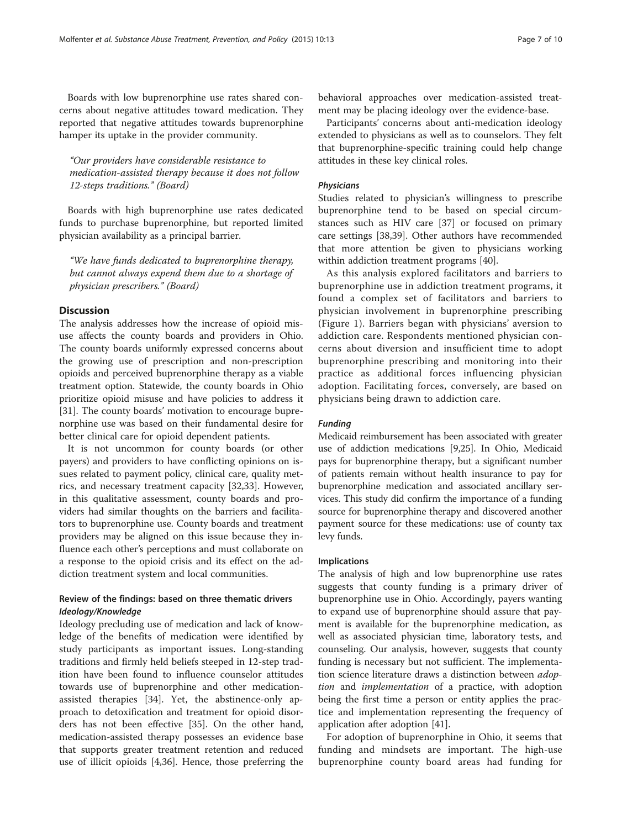Boards with low buprenorphine use rates shared concerns about negative attitudes toward medication. They reported that negative attitudes towards buprenorphine hamper its uptake in the provider community.

"Our providers have considerable resistance to medication-assisted therapy because it does not follow 12-steps traditions." (Board)

Boards with high buprenorphine use rates dedicated funds to purchase buprenorphine, but reported limited physician availability as a principal barrier.

"We have funds dedicated to buprenorphine therapy, but cannot always expend them due to a shortage of physician prescribers." (Board)

# **Discussion**

The analysis addresses how the increase of opioid misuse affects the county boards and providers in Ohio. The county boards uniformly expressed concerns about the growing use of prescription and non-prescription opioids and perceived buprenorphine therapy as a viable treatment option. Statewide, the county boards in Ohio prioritize opioid misuse and have policies to address it [[31\]](#page-8-0). The county boards' motivation to encourage buprenorphine use was based on their fundamental desire for better clinical care for opioid dependent patients.

It is not uncommon for county boards (or other payers) and providers to have conflicting opinions on issues related to payment policy, clinical care, quality metrics, and necessary treatment capacity [[32,33](#page-8-0)]. However, in this qualitative assessment, county boards and providers had similar thoughts on the barriers and facilitators to buprenorphine use. County boards and treatment providers may be aligned on this issue because they influence each other's perceptions and must collaborate on a response to the opioid crisis and its effect on the addiction treatment system and local communities.

# Review of the findings: based on three thematic drivers Ideology/Knowledge

Ideology precluding use of medication and lack of knowledge of the benefits of medication were identified by study participants as important issues. Long-standing traditions and firmly held beliefs steeped in 12-step tradition have been found to influence counselor attitudes towards use of buprenorphine and other medicationassisted therapies [[34\]](#page-8-0). Yet, the abstinence-only approach to detoxification and treatment for opioid disorders has not been effective [[35\]](#page-8-0). On the other hand, medication-assisted therapy possesses an evidence base that supports greater treatment retention and reduced use of illicit opioids [\[4,](#page-8-0)[36\]](#page-9-0). Hence, those preferring the

behavioral approaches over medication-assisted treatment may be placing ideology over the evidence-base.

Participants' concerns about anti-medication ideology extended to physicians as well as to counselors. They felt that buprenorphine-specific training could help change attitudes in these key clinical roles.

#### **Physicians**

Studies related to physician's willingness to prescribe buprenorphine tend to be based on special circumstances such as HIV care [\[37\]](#page-9-0) or focused on primary care settings [[38](#page-9-0),[39](#page-9-0)]. Other authors have recommended that more attention be given to physicians working within addiction treatment programs [\[40](#page-9-0)].

As this analysis explored facilitators and barriers to buprenorphine use in addiction treatment programs, it found a complex set of facilitators and barriers to physician involvement in buprenorphine prescribing (Figure [1\)](#page-7-0). Barriers began with physicians' aversion to addiction care. Respondents mentioned physician concerns about diversion and insufficient time to adopt buprenorphine prescribing and monitoring into their practice as additional forces influencing physician adoption. Facilitating forces, conversely, are based on physicians being drawn to addiction care.

#### Funding

Medicaid reimbursement has been associated with greater use of addiction medications [\[9,25\]](#page-8-0). In Ohio, Medicaid pays for buprenorphine therapy, but a significant number of patients remain without health insurance to pay for buprenorphine medication and associated ancillary services. This study did confirm the importance of a funding source for buprenorphine therapy and discovered another payment source for these medications: use of county tax levy funds.

#### Implications

The analysis of high and low buprenorphine use rates suggests that county funding is a primary driver of buprenorphine use in Ohio. Accordingly, payers wanting to expand use of buprenorphine should assure that payment is available for the buprenorphine medication, as well as associated physician time, laboratory tests, and counseling. Our analysis, however, suggests that county funding is necessary but not sufficient. The implementation science literature draws a distinction between adoption and implementation of a practice, with adoption being the first time a person or entity applies the practice and implementation representing the frequency of application after adoption [\[41](#page-9-0)].

For adoption of buprenorphine in Ohio, it seems that funding and mindsets are important. The high-use buprenorphine county board areas had funding for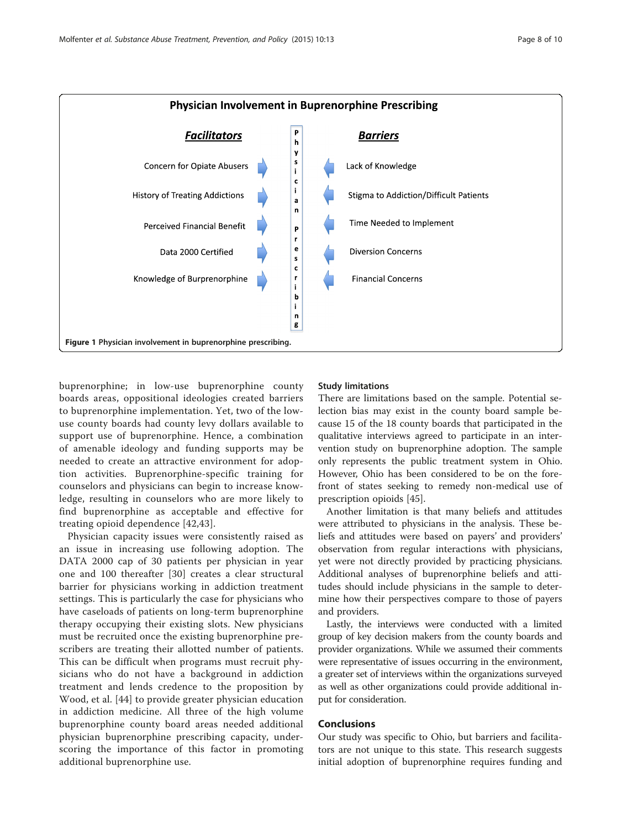<span id="page-7-0"></span>

buprenorphine; in low-use buprenorphine county boards areas, oppositional ideologies created barriers to buprenorphine implementation. Yet, two of the lowuse county boards had county levy dollars available to support use of buprenorphine. Hence, a combination of amenable ideology and funding supports may be needed to create an attractive environment for adoption activities. Buprenorphine-specific training for counselors and physicians can begin to increase knowledge, resulting in counselors who are more likely to find buprenorphine as acceptable and effective for treating opioid dependence [\[42,43](#page-9-0)].

Physician capacity issues were consistently raised as an issue in increasing use following adoption. The DATA 2000 cap of 30 patients per physician in year one and 100 thereafter [[30\]](#page-8-0) creates a clear structural barrier for physicians working in addiction treatment settings. This is particularly the case for physicians who have caseloads of patients on long-term buprenorphine therapy occupying their existing slots. New physicians must be recruited once the existing buprenorphine prescribers are treating their allotted number of patients. This can be difficult when programs must recruit physicians who do not have a background in addiction treatment and lends credence to the proposition by Wood, et al. [[44\]](#page-9-0) to provide greater physician education in addiction medicine. All three of the high volume buprenorphine county board areas needed additional physician buprenorphine prescribing capacity, underscoring the importance of this factor in promoting additional buprenorphine use.

#### Study limitations

There are limitations based on the sample. Potential selection bias may exist in the county board sample because 15 of the 18 county boards that participated in the qualitative interviews agreed to participate in an intervention study on buprenorphine adoption. The sample only represents the public treatment system in Ohio. However, Ohio has been considered to be on the forefront of states seeking to remedy non-medical use of prescription opioids [[45](#page-9-0)].

Another limitation is that many beliefs and attitudes were attributed to physicians in the analysis. These beliefs and attitudes were based on payers' and providers' observation from regular interactions with physicians, yet were not directly provided by practicing physicians. Additional analyses of buprenorphine beliefs and attitudes should include physicians in the sample to determine how their perspectives compare to those of payers and providers.

Lastly, the interviews were conducted with a limited group of key decision makers from the county boards and provider organizations. While we assumed their comments were representative of issues occurring in the environment, a greater set of interviews within the organizations surveyed as well as other organizations could provide additional input for consideration.

# **Conclusions**

Our study was specific to Ohio, but barriers and facilitators are not unique to this state. This research suggests initial adoption of buprenorphine requires funding and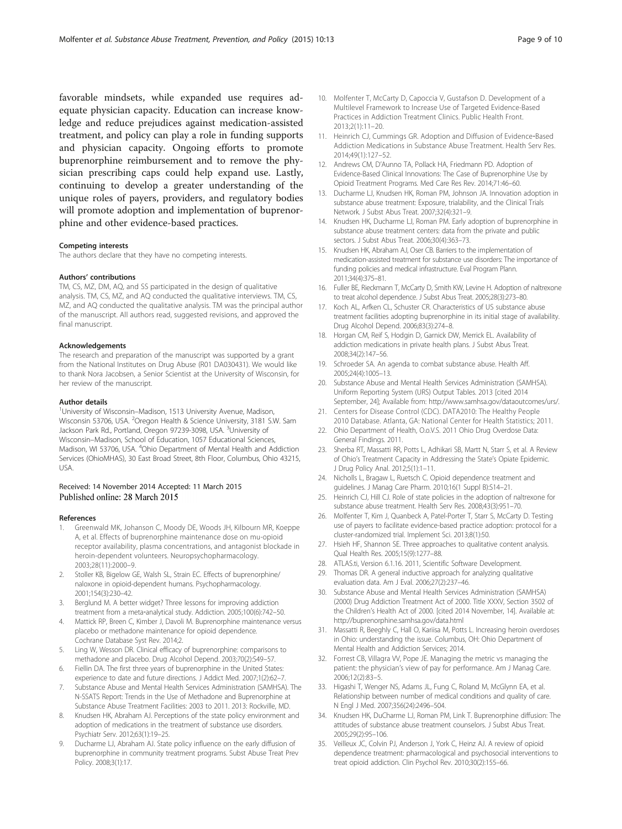<span id="page-8-0"></span>favorable mindsets, while expanded use requires adequate physician capacity. Education can increase knowledge and reduce prejudices against medication-assisted treatment, and policy can play a role in funding supports and physician capacity. Ongoing efforts to promote buprenorphine reimbursement and to remove the physician prescribing caps could help expand use. Lastly, continuing to develop a greater understanding of the unique roles of payers, providers, and regulatory bodies will promote adoption and implementation of buprenorphine and other evidence-based practices.

#### Competing interests

The authors declare that they have no competing interests.

#### Authors' contributions

TM, CS, MZ, DM, AQ, and SS participated in the design of qualitative analysis. TM, CS, MZ, and AQ conducted the qualitative interviews. TM, CS, MZ, and AQ conducted the qualitative analysis. TM was the principal author of the manuscript. All authors read, suggested revisions, and approved the final manuscript.

#### Acknowledgements

The research and preparation of the manuscript was supported by a grant from the National Institutes on Drug Abuse (R01 DA030431). We would like to thank Nora Jacobsen, a Senior Scientist at the University of Wisconsin, for her review of the manuscript.

#### Author details

<sup>1</sup>University of Wisconsin-Madison, 1513 University Avenue, Madison, Wisconsin 53706, USA. <sup>2</sup>Oregon Health & Science University, 3181 S.W. Sam Jackson Park Rd., Portland, Oregon 97239-3098, USA. <sup>3</sup>University of Wisconsin–Madison, School of Education, 1057 Educational Sciences, Madison, WI 53706, USA. <sup>4</sup>Ohio Department of Mental Health and Addiction Services (OhioMHAS), 30 East Broad Street, 8th Floor, Columbus, Ohio 43215, USA.

#### Received: 14 November 2014 Accepted: 11 March 2015 Published online: 28 March 2015

#### References

- 1. Greenwald MK, Johanson C, Moody DE, Woods JH, Kilbourn MR, Koeppe A, et al. Effects of buprenorphine maintenance dose on mu-opioid receptor availability, plasma concentrations, and antagonist blockade in heroin-dependent volunteers. Neuropsychopharmacology. 2003;28(11):2000–9.
- 2. Stoller KB, Bigelow GE, Walsh SL, Strain EC. Effects of buprenorphine/ naloxone in opioid-dependent humans. Psychopharmacology. 2001;154(3):230–42.
- 3. Berglund M. A better widget? Three lessons for improving addiction treatment from a meta‐analytical study. Addiction. 2005;100(6):742–50.
- 4. Mattick RP, Breen C, Kimber J, Davoli M. Buprenorphine maintenance versus placebo or methadone maintenance for opioid dependence. Cochrane Database Syst Rev. 2014;2.
- 5. Ling W, Wesson DR. Clinical efficacy of buprenorphine: comparisons to methadone and placebo. Drug Alcohol Depend. 2003;70(2):S49–57.
- 6. Fiellin DA. The first three years of buprenorphine in the United States: experience to date and future directions. J Addict Med. 2007;1(2):62–7.
- 7. Substance Abuse and Mental Health Services Administration (SAMHSA). The N-SSATS Report: Trends in the Use of Methadone and Buprenorphine at Substance Abuse Treatment Facilities: 2003 to 2011. 2013: Rockville, MD.
- Knudsen HK, Abraham AJ. Perceptions of the state policy environment and adoption of medications in the treatment of substance use disorders. Psychiatr Serv. 2012;63(1):19–25.
- Ducharme LJ, Abraham AJ. State policy influence on the early diffusion of buprenorphine in community treatment programs. Subst Abuse Treat Prev Policy. 2008;3(1):17.
- 10. Molfenter T, McCarty D, Capoccia V, Gustafson D. Development of a Multilevel Framework to Increase Use of Targeted Evidence-Based Practices in Addiction Treatment Clinics. Public Health Front. 2013;2(1):11–20.
- 11. Heinrich CJ, Cummings GR, Adoption and Diffusion of Evidence-Based Addiction Medications in Substance Abuse Treatment. Health Serv Res. 2014;49(1):127–52.
- 12. Andrews CM, D'Aunno TA, Pollack HA, Friedmann PD. Adoption of Evidence-Based Clinical Innovations: The Case of Buprenorphine Use by Opioid Treatment Programs. Med Care Res Rev. 2014;71:46–60.
- 13. Ducharme LJ, Knudsen HK, Roman PM, Johnson JA. Innovation adoption in substance abuse treatment: Exposure, trialability, and the Clinical Trials Network. J Subst Abus Treat. 2007;32(4):321–9.
- 14. Knudsen HK, Ducharme LJ, Roman PM, Early adoption of buprenorphine in substance abuse treatment centers: data from the private and public sectors. J Subst Abus Treat. 2006;30(4):363–73.
- 15. Knudsen HK, Abraham AJ, Oser CB. Barriers to the implementation of medication-assisted treatment for substance use disorders: The importance of funding policies and medical infrastructure. Eval Program Plann. 2011;34(4):375–81.
- 16. Fuller BE, Rieckmann T, McCarty D, Smith KW, Levine H. Adoption of naltrexone to treat alcohol dependence. J Subst Abus Treat. 2005;28(3):273–80.
- 17. Koch AL, Arfken CL, Schuster CR. Characteristics of US substance abuse treatment facilities adopting buprenorphine in its initial stage of availability. Drug Alcohol Depend. 2006;83(3):274–8.
- 18. Horgan CM, Reif S, Hodgin D, Garnick DW, Merrick EL. Availability of addiction medications in private health plans. J Subst Abus Treat. 2008;34(2):147–56.
- 19. Schroeder SA. An agenda to combat substance abuse. Health Aff. 2005;24(4):1005–13.
- 20. Substance Abuse and Mental Health Services Administration (SAMHSA). Uniform Reporting System (URS) Output Tables. 2013 [cited 2014 September, 24]; Available from: [http://www.samhsa.gov/dataoutcomes/urs/.](http://www.samhsa.gov/dataoutcomes/urs/)
- 21. Centers for Disease Control (CDC). DATA2010: The Healthy People 2010 Database. Atlanta, GA: National Center for Health Statistics; 2011.
- 22. Ohio Department of Health, O.o.V.S. 2011 Ohio Drug Overdose Data: General Findings. 2011.
- 23. Sherba RT, Massatti RR, Potts L, Adhikari SB, Martt N, Starr S, et al. A Review of Ohio's Treatment Capacity in Addressing the State's Opiate Epidemic. J Drug Policy Anal. 2012;5(1):1–11.
- 24. Nicholls L, Bragaw L, Ruetsch C. Opioid dependence treatment and guidelines. J Manag Care Pharm. 2010;16(1 Suppl B):S14–21.
- 25. Heinrich CJ, Hill CJ. Role of state policies in the adoption of naltrexone for substance abuse treatment. Health Serv Res. 2008;43(3):951–70.
- 26. Molfenter T, Kim J, Quanbeck A, Patel-Porter T, Starr S, McCarty D. Testing use of payers to facilitate evidence-based practice adoption: protocol for a cluster-randomized trial. Implement Sci. 2013;8(1):50.
- 27. Hsieh HF, Shannon SE. Three approaches to qualitative content analysis. Qual Health Res. 2005;15(9):1277–88.
- 28. ATLAS.ti, Version 6.1.16. 2011, Scientific Software Development.
- 29. Thomas DR. A general inductive approach for analyzing qualitative evaluation data. Am J Eval. 2006;27(2):237–46.
- 30. Substance Abuse and Mental Health Services Administration (SAMHSA) (2000) Drug Addiction Treatment Act of 2000. Title XXXV, Section 3502 of the Children's Health Act of 2000. [cited 2014 November, 14]. Available at: <http://buprenorphine.samhsa.gov/data.html>
- 31. Massatti R, Beeghly C, Hall O, Kariisa M, Potts L. Increasing heroin overdoses in Ohio: understanding the issue. Columbus, OH: Ohio Department of Mental Health and Addiction Services; 2014.
- 32. Forrest CB, Villagra VV, Pope JE. Managing the metric vs managing the patient: the physician's view of pay for performance. Am J Manag Care. 2006;12(2):83–5.
- 33. Higashi T, Wenger NS, Adams JL, Fung C, Roland M, McGlynn EA, et al. Relationship between number of medical conditions and quality of care. N Engl J Med. 2007;356(24):2496–504.
- 34. Knudsen HK, DuCharme LJ, Roman PM, Link T. Buprenorphine diffusion: The attitudes of substance abuse treatment counselors. J Subst Abus Treat. 2005;29(2):95–106.
- 35. Veilleux JC, Colvin PJ, Anderson J, York C, Heinz AJ. A review of opioid dependence treatment: pharmacological and psychosocial interventions to treat opioid addiction. Clin Psychol Rev. 2010;30(2):155–66.